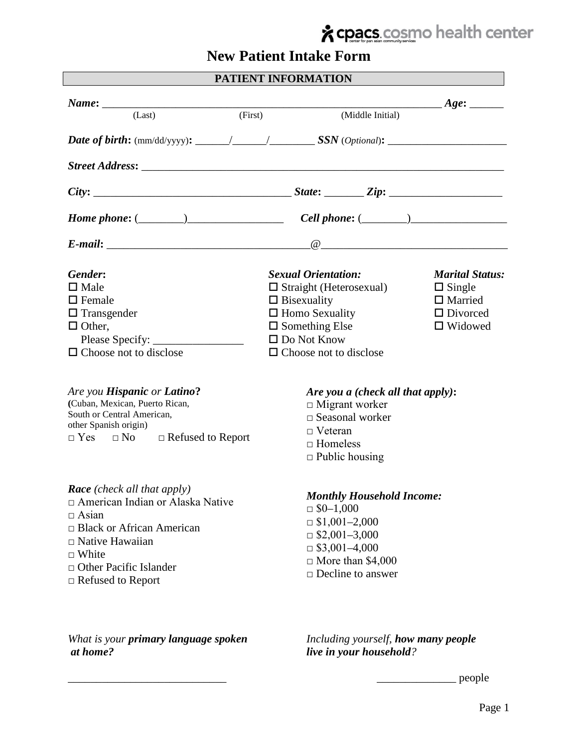# \* cpacs.cosmo health center

## **New Patient Intake Form**

| PATIENT INFORMATION                                                                                                                                                                                                            |                                                                                                                                                                                                |                                                                                                |  |  |  |
|--------------------------------------------------------------------------------------------------------------------------------------------------------------------------------------------------------------------------------|------------------------------------------------------------------------------------------------------------------------------------------------------------------------------------------------|------------------------------------------------------------------------------------------------|--|--|--|
|                                                                                                                                                                                                                                |                                                                                                                                                                                                | $\overline{\phantom{a}}$ $\overline{A}$ ge:                                                    |  |  |  |
| (First)<br>(Last)                                                                                                                                                                                                              | (Middle Initial)                                                                                                                                                                               |                                                                                                |  |  |  |
|                                                                                                                                                                                                                                |                                                                                                                                                                                                |                                                                                                |  |  |  |
|                                                                                                                                                                                                                                |                                                                                                                                                                                                |                                                                                                |  |  |  |
| $City:$ $City:$ $Zip:$ $Zip:$ $\qquad \qquad$ $Zip:$ $\qquad \qquad$ $\qquad$                                                                                                                                                  |                                                                                                                                                                                                |                                                                                                |  |  |  |
| $Home~phone: (\_\_\_\_\_\_\_$                                                                                                                                                                                                  |                                                                                                                                                                                                |                                                                                                |  |  |  |
|                                                                                                                                                                                                                                |                                                                                                                                                                                                |                                                                                                |  |  |  |
| Gender:<br>$\Box$ Male<br>$\Box$ Female<br>$\Box$ Transgender<br>$\Box$ Other,<br>$\Box$ Choose not to disclose                                                                                                                | <b>Sexual Orientation:</b><br>$\Box$ Straight (Heterosexual)<br>$\Box$ Bisexuality<br>$\Box$ Homo Sexuality<br>$\square$ Something Else<br>$\Box$ Do Not Know<br>$\Box$ Choose not to disclose | <b>Marital Status:</b><br>$\Box$ Single<br>$\Box$ Married<br>$\Box$ Divorced<br>$\Box$ Widowed |  |  |  |
| Are you <b>Hispanic</b> or <b>Latino?</b><br>(Cuban, Mexican, Puerto Rican,<br>South or Central American,<br>other Spanish origin)<br>$\Box$ Yes $\Box$ No $\Box$ Refused to Report                                            | Are you a (check all that apply):<br>$\Box$ Migrant worker<br>$\Box$ Seasonal worker<br>$\Box$ Veteran<br>$\Box$ Homeless<br>$\Box$ Public housing                                             |                                                                                                |  |  |  |
| <b>Race</b> (check all that apply)<br>□ American Indian or Alaska Native<br>$\Box$ Asian<br>$\Box$ Black or African American<br>$\Box$ Native Hawaiian<br>$\Box$ White<br>□ Other Pacific Islander<br>$\Box$ Refused to Report | <b>Monthly Household Income:</b><br>$\Box$ \$0-1,000<br>$\Box$ \$1,001-2,000<br>$\Box$ \$2,001-3,000<br>$\Box$ \$3,001-4,000<br>$\Box$ More than \$4,000<br>$\Box$ Decline to answer           |                                                                                                |  |  |  |
| What is your primary language spoken                                                                                                                                                                                           | Including yourself, how many people                                                                                                                                                            |                                                                                                |  |  |  |

*at home?*

\_\_\_\_\_\_\_\_\_\_\_\_\_\_\_\_\_\_\_\_\_\_\_\_\_\_\_\_

*Including yourself, how many people live in your household?* 

\_\_\_\_\_\_\_\_\_\_\_\_\_\_ people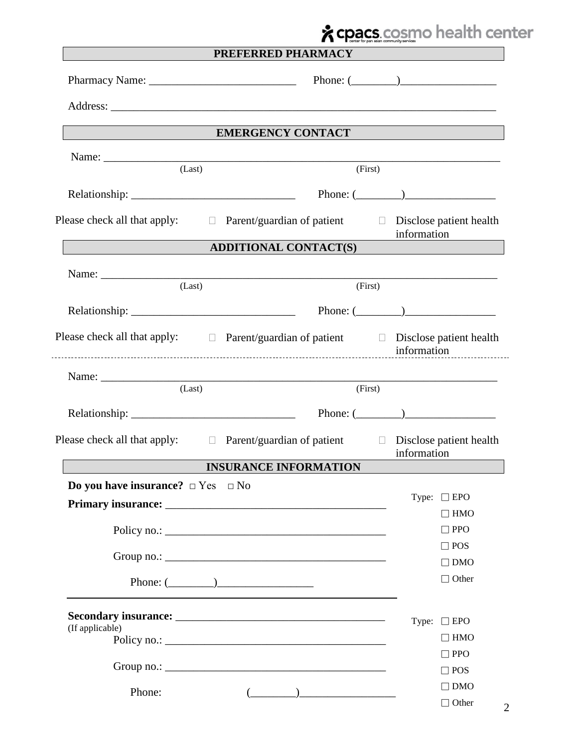## & cpacs.cosmo health center

|                                                    | PREFERRED PHARMACY                                                                                                                                                                                                                                                                                                                                                  |             |                     |  |
|----------------------------------------------------|---------------------------------------------------------------------------------------------------------------------------------------------------------------------------------------------------------------------------------------------------------------------------------------------------------------------------------------------------------------------|-------------|---------------------|--|
|                                                    |                                                                                                                                                                                                                                                                                                                                                                     |             |                     |  |
|                                                    |                                                                                                                                                                                                                                                                                                                                                                     |             |                     |  |
|                                                    | <b>EMERGENCY CONTACT EMERGENCY</b>                                                                                                                                                                                                                                                                                                                                  |             |                     |  |
|                                                    | Name: 2008. 2008. 2010. 2010. 2010. 2010. 2010. 2010. 2010. 2010. 2010. 2010. 2010. 2010. 2010. 2010. 2010. 20                                                                                                                                                                                                                                                      |             |                     |  |
| (Last)                                             | (First)                                                                                                                                                                                                                                                                                                                                                             |             |                     |  |
|                                                    | Phone: $(\_\_)$                                                                                                                                                                                                                                                                                                                                                     |             |                     |  |
|                                                    | Please check all that apply: $\square$ Parent/guardian of patient $\square$ Disclose patient health                                                                                                                                                                                                                                                                 | information |                     |  |
|                                                    | ADDITIONAL CONTACT(S)                                                                                                                                                                                                                                                                                                                                               |             |                     |  |
|                                                    |                                                                                                                                                                                                                                                                                                                                                                     |             |                     |  |
| (Last)                                             | (First)                                                                                                                                                                                                                                                                                                                                                             |             |                     |  |
|                                                    |                                                                                                                                                                                                                                                                                                                                                                     |             |                     |  |
|                                                    | Please check all that apply: $\square$ Parent/guardian of patient $\square$ Disclose patient health                                                                                                                                                                                                                                                                 |             |                     |  |
|                                                    |                                                                                                                                                                                                                                                                                                                                                                     |             |                     |  |
| (Last)                                             | (First)                                                                                                                                                                                                                                                                                                                                                             |             |                     |  |
|                                                    |                                                                                                                                                                                                                                                                                                                                                                     |             |                     |  |
|                                                    | Please check all that apply: $\square$ Parent/guardian of patient $\square$ Disclose patient health                                                                                                                                                                                                                                                                 | information |                     |  |
|                                                    | <b>INSURANCE INFORMATION</b>                                                                                                                                                                                                                                                                                                                                        |             |                     |  |
| <b>Do you have insurance?</b> $\Box$ Yes $\Box$ No |                                                                                                                                                                                                                                                                                                                                                                     |             | Type: $\square$ EPO |  |
|                                                    |                                                                                                                                                                                                                                                                                                                                                                     |             | $\Box$ HMO          |  |
|                                                    |                                                                                                                                                                                                                                                                                                                                                                     |             | $\Box$ PPO          |  |
|                                                    |                                                                                                                                                                                                                                                                                                                                                                     |             | $\Box$ POS          |  |
|                                                    |                                                                                                                                                                                                                                                                                                                                                                     |             | $\Box$ DMO          |  |
|                                                    | Phone: $(\_\_)$                                                                                                                                                                                                                                                                                                                                                     |             | $\Box$ Other        |  |
|                                                    |                                                                                                                                                                                                                                                                                                                                                                     | Type:       | $\Box$ EPO          |  |
| (If applicable)                                    |                                                                                                                                                                                                                                                                                                                                                                     |             | $\Box$ HMO          |  |
|                                                    |                                                                                                                                                                                                                                                                                                                                                                     |             | $\Box$ PPO          |  |
|                                                    |                                                                                                                                                                                                                                                                                                                                                                     |             | $\Box$ POS          |  |
|                                                    |                                                                                                                                                                                                                                                                                                                                                                     |             | $\Box$ DMO          |  |
| Phone:                                             | $\begin{picture}(20,10) \put(0,0){\vector(1,0){100}} \put(15,0){\vector(1,0){100}} \put(15,0){\vector(1,0){100}} \put(15,0){\vector(1,0){100}} \put(15,0){\vector(1,0){100}} \put(15,0){\vector(1,0){100}} \put(15,0){\vector(1,0){100}} \put(15,0){\vector(1,0){100}} \put(15,0){\vector(1,0){100}} \put(15,0){\vector(1,0){100}} \put(15,0){\vector(1,0){100}} \$ |             | $\Box$ Other        |  |

Г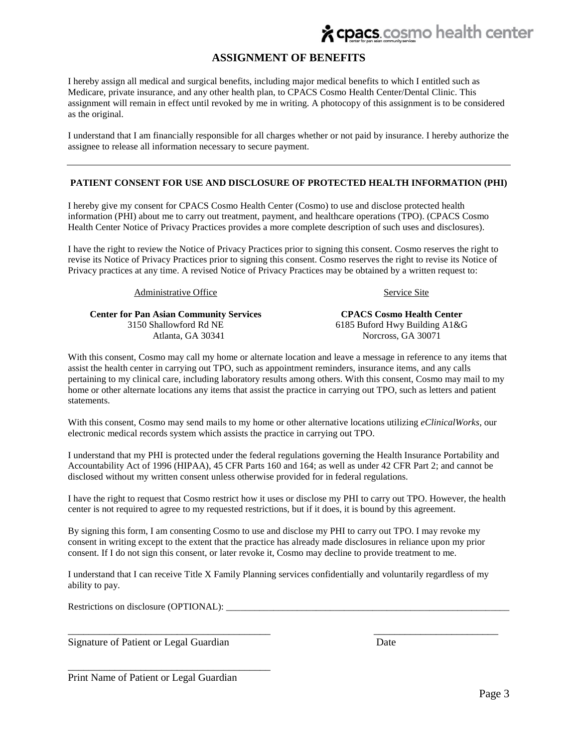### **ASSIGNMENT OF BENEFITS**

I hereby assign all medical and surgical benefits, including major medical benefits to which I entitled such as Medicare, private insurance, and any other health plan, to CPACS Cosmo Health Center/Dental Clinic. This assignment will remain in effect until revoked by me in writing. A photocopy of this assignment is to be considered as the original.

I understand that I am financially responsible for all charges whether or not paid by insurance. I hereby authorize the assignee to release all information necessary to secure payment.

#### **PATIENT CONSENT FOR USE AND DISCLOSURE OF PROTECTED HEALTH INFORMATION (PHI)**

I hereby give my consent for CPACS Cosmo Health Center (Cosmo) to use and disclose protected health information (PHI) about me to carry out treatment, payment, and healthcare operations (TPO). (CPACS Cosmo Health Center Notice of Privacy Practices provides a more complete description of such uses and disclosures).

I have the right to review the Notice of Privacy Practices prior to signing this consent. Cosmo reserves the right to revise its Notice of Privacy Practices prior to signing this consent. Cosmo reserves the right to revise its Notice of Privacy practices at any time. A revised Notice of Privacy Practices may be obtained by a written request to:

Administrative Office

**Center for Pan Asian Community Services** 3150 Shallowford Rd NE Atlanta, GA 30341

**CPACS Cosmo Health Center**  6185 Buford Hwy Building A1&G Norcross, GA 30071

Service Site

With this consent, Cosmo may call my home or alternate location and leave a message in reference to any items that assist the health center in carrying out TPO, such as appointment reminders, insurance items, and any calls pertaining to my clinical care, including laboratory results among others. With this consent, Cosmo may mail to my home or other alternate locations any items that assist the practice in carrying out TPO, such as letters and patient statements.

With this consent, Cosmo may send mails to my home or other alternative locations utilizing *eClinicalWorks,* our electronic medical records system which assists the practice in carrying out TPO.

I understand that my PHI is protected under the federal regulations governing the Health Insurance Portability and Accountability Act of 1996 (HIPAA), 45 CFR Parts 160 and 164; as well as under 42 CFR Part 2; and cannot be disclosed without my written consent unless otherwise provided for in federal regulations.

I have the right to request that Cosmo restrict how it uses or disclose my PHI to carry out TPO. However, the health center is not required to agree to my requested restrictions, but if it does, it is bound by this agreement.

By signing this form, I am consenting Cosmo to use and disclose my PHI to carry out TPO. I may revoke my consent in writing except to the extent that the practice has already made disclosures in reliance upon my prior consent. If I do not sign this consent, or later revoke it, Cosmo may decline to provide treatment to me.

I understand that I can receive Title X Family Planning services confidentially and voluntarily regardless of my ability to pay.

\_\_\_\_\_\_\_\_\_\_\_\_\_\_\_\_\_\_\_\_\_\_\_\_\_\_\_\_\_\_\_\_\_\_\_\_\_\_\_ \_\_\_\_\_\_\_\_\_\_\_\_\_\_\_\_\_\_\_\_\_\_\_\_

Restrictions on disclosure (OPTIONAL):

Signature of Patient or Legal Guardian Date

Print Name of Patient or Legal Guardian

\_\_\_\_\_\_\_\_\_\_\_\_\_\_\_\_\_\_\_\_\_\_\_\_\_\_\_\_\_\_\_\_\_\_\_\_\_\_\_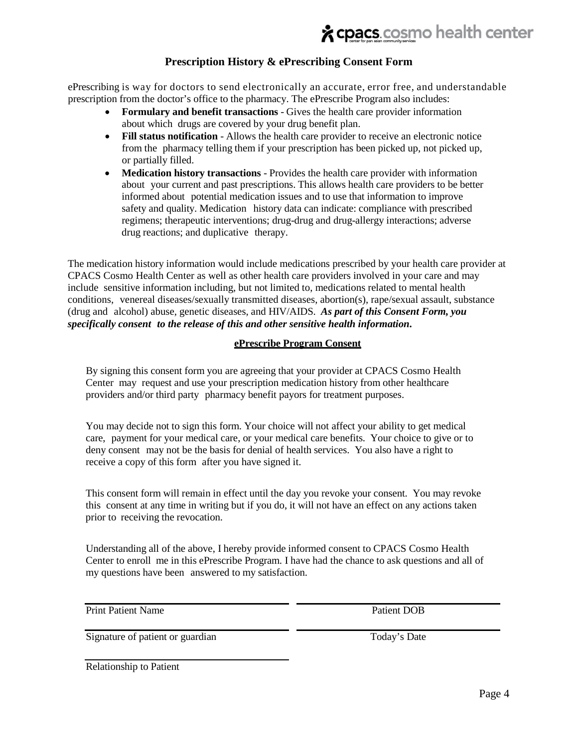#### **Prescription History & ePrescribing Consent Form**

ePrescribing is way for doctors to send electronically an accurate, error free, and understandable prescription from the doctor's office to the pharmacy. The ePrescribe Program also includes:

- **Formulary and benefit transactions** Gives the health care provider information about which drugs are covered by your drug benefit plan.
- **Fill status notification**  Allows the health care provider to receive an electronic notice from the pharmacy telling them if your prescription has been picked up, not picked up, or partially filled.
- **Medication history transactions** Provides the health care provider with information about your current and past prescriptions. This allows health care providers to be better informed about potential medication issues and to use that information to improve safety and quality. Medication history data can indicate: compliance with prescribed regimens; therapeutic interventions; drug-drug and drug-allergy interactions; adverse drug reactions; and duplicative therapy.

The medication history information would include medications prescribed by your health care provider at CPACS Cosmo Health Center as well as other health care providers involved in your care and may include sensitive information including, but not limited to, medications related to mental health conditions, venereal diseases/sexually transmitted diseases, abortion(s), rape/sexual assault, substance (drug and alcohol) abuse, genetic diseases, and HIV/AIDS. *As part of this Consent Form, you specifically consent to the release of this and other sensitive health information***.**

#### **ePrescribe Program Consent**

By signing this consent form you are agreeing that your provider at CPACS Cosmo Health Center may request and use your prescription medication history from other healthcare providers and/or third party pharmacy benefit payors for treatment purposes.

You may decide not to sign this form. Your choice will not affect your ability to get medical care, payment for your medical care, or your medical care benefits. Your choice to give or to deny consent may not be the basis for denial of health services. You also have a right to receive a copy of this form after you have signed it.

This consent form will remain in effect until the day you revoke your consent. You may revoke this consent at any time in writing but if you do, it will not have an effect on any actions taken prior to receiving the revocation.

Understanding all of the above, I hereby provide informed consent to CPACS Cosmo Health Center to enroll me in this ePrescribe Program. I have had the chance to ask questions and all of my questions have been answered to my satisfaction.

Print Patient Name Patient DOB

Signature of patient or guardian Today's Date

Relationship to Patient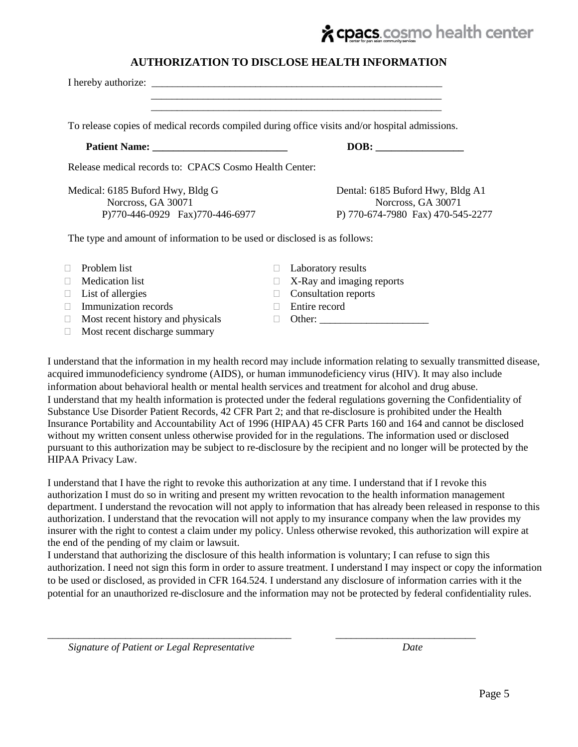### **AUTHORIZATION TO DISCLOSE HEALTH INFORMATION**

| I hereby authorize:                                                                       |                                                                                                |
|-------------------------------------------------------------------------------------------|------------------------------------------------------------------------------------------------|
|                                                                                           | To release copies of medical records compiled during office visits and/or hospital admissions. |
|                                                                                           |                                                                                                |
| Release medical records to: CPACS Cosmo Health Center:                                    |                                                                                                |
| Medical: 6185 Buford Hwy, Bldg G<br>Norcross, GA 30071<br>P)770-446-0929 Fax)770-446-6977 | Dental: 6185 Buford Hwy, Bldg A1<br>Norcross, GA 30071<br>P) 770-674-7980 Fax) 470-545-2277    |
| The type and amount of information to be used or disclosed is as follows:                 |                                                                                                |
| Problem list<br>Medication list                                                           | Laboratory results<br>$\mathbf{L}$                                                             |
| List of allergies<br>Immunization records                                                 | X-Ray and imaging reports<br>$\perp$<br>Consultation reports<br>$\perp$<br>Entire record       |

 $\Box$  Most recent history and physicals  $\Box$  Other:

I understand that the information in my health record may include information relating to sexually transmitted disease, acquired immunodeficiency syndrome (AIDS), or human immunodeficiency virus (HIV). It may also include information about behavioral health or mental health services and treatment for alcohol and drug abuse. I understand that my health information is protected under the federal regulations governing the Confidentiality of Substance Use Disorder Patient Records, 42 CFR Part 2; and that re-disclosure is prohibited under the Health Insurance Portability and Accountability Act of 1996 (HIPAA) 45 CFR Parts 160 and 164 and cannot be disclosed without my written consent unless otherwise provided for in the regulations. The information used or disclosed pursuant to this authorization may be subject to re-disclosure by the recipient and no longer will be protected by the HIPAA Privacy Law.

I understand that I have the right to revoke this authorization at any time. I understand that if I revoke this authorization I must do so in writing and present my written revocation to the health information management department. I understand the revocation will not apply to information that has already been released in response to this authorization. I understand that the revocation will not apply to my insurance company when the law provides my insurer with the right to contest a claim under my policy. Unless otherwise revoked, this authorization will expire at the end of the pending of my claim or lawsuit.

I understand that authorizing the disclosure of this health information is voluntary; I can refuse to sign this authorization. I need not sign this form in order to assure treatment. I understand I may inspect or copy the information to be used or disclosed, as provided in CFR 164.524. I understand any disclosure of information carries with it the potential for an unauthorized re-disclosure and the information may not be protected by federal confidentiality rules.

\_\_\_\_\_\_\_\_\_\_\_\_\_\_\_\_\_\_\_\_\_\_\_\_\_\_\_\_\_\_\_\_\_\_\_\_\_\_\_\_\_\_\_\_\_\_\_ \_\_\_\_\_\_\_\_\_\_\_\_\_\_\_\_\_\_\_\_\_\_\_\_\_\_\_

 $\Box$  Most recent discharge summary

& cpacs.cosmo health center